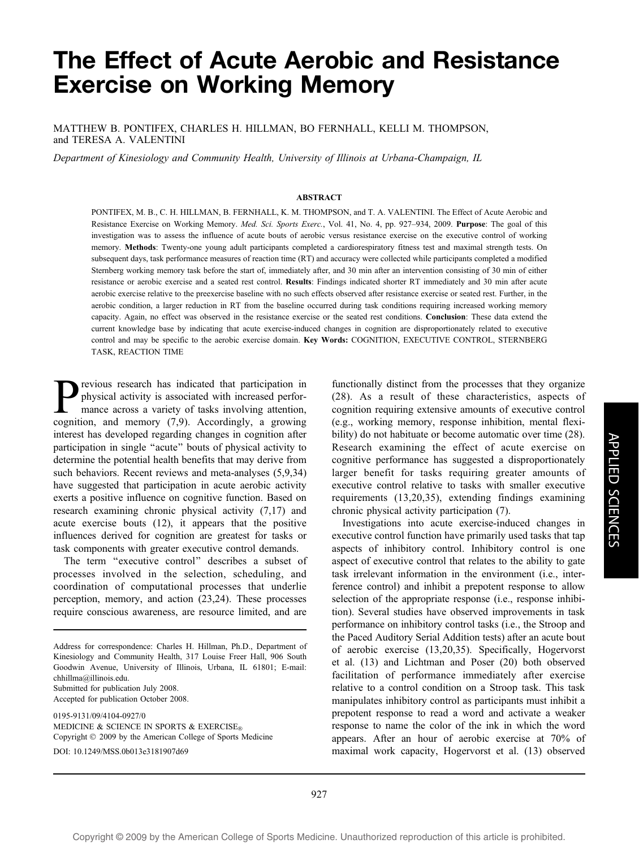# The Effect of Acute Aerobic and Resistance Exercise on Working Memory

MATTHEW B. PONTIFEX, CHARLES H. HILLMAN, BO FERNHALL, KELLI M. THOMPSON, and TERESA A. VALENTINI

Department of Kinesiology and Community Health, University of Illinois at Urbana-Champaign, IL

#### ABSTRACT

PONTIFEX, M. B., C. H. HILLMAN, B. FERNHALL, K. M. THOMPSON, and T. A. VALENTINI. The Effect of Acute Aerobic and Resistance Exercise on Working Memory. Med. Sci. Sports Exerc., Vol. 41, No. 4, pp. 927-934, 2009. Purpose: The goal of this investigation was to assess the influence of acute bouts of aerobic versus resistance exercise on the executive control of working memory. Methods: Twenty-one young adult participants completed a cardiorespiratory fitness test and maximal strength tests. On subsequent days, task performance measures of reaction time (RT) and accuracy were collected while participants completed a modified Sternberg working memory task before the start of, immediately after, and 30 min after an intervention consisting of 30 min of either resistance or aerobic exercise and a seated rest control. Results: Findings indicated shorter RT immediately and 30 min after acute aerobic exercise relative to the preexercise baseline with no such effects observed after resistance exercise or seated rest. Further, in the aerobic condition, a larger reduction in RT from the baseline occurred during task conditions requiring increased working memory capacity. Again, no effect was observed in the resistance exercise or the seated rest conditions. Conclusion: These data extend the current knowledge base by indicating that acute exercise-induced changes in cognition are disproportionately related to executive control and may be specific to the aerobic exercise domain. Key Words: COGNITION, EXECUTIVE CONTROL, STERNBERG TASK, REACTION TIME

**P** revious research has indicated that participation in physical activity is associated with increased performance across a variety of tasks involving attention, cognition and memory  $(7.9)$ . Accordingly a growing physical activity is associated with increased performance across a variety of tasks involving attention, cognition, and memory (7,9). Accordingly, a growing interest has developed regarding changes in cognition after participation in single ''acute'' bouts of physical activity to determine the potential health benefits that may derive from such behaviors. Recent reviews and meta-analyses (5,9,34) have suggested that participation in acute aerobic activity exerts a positive influence on cognitive function. Based on research examining chronic physical activity (7,17) and acute exercise bouts (12), it appears that the positive influences derived for cognition are greatest for tasks or task components with greater executive control demands.

The term ''executive control'' describes a subset of processes involved in the selection, scheduling, and coordination of computational processes that underlie perception, memory, and action (23,24). These processes require conscious awareness, are resource limited, and are

Address for correspondence: Charles H. Hillman, Ph.D., Department of Kinesiology and Community Health, 317 Louise Freer Hall, 906 South Goodwin Avenue, University of Illinois, Urbana, IL 61801; E-mail: chhillma@illinois.edu. Submitted for publication July 2008. Accepted for publication October 2008.

0195-9131/09/4104-0927/0 MEDICINE & SCIENCE IN SPORTS & EXERCISE® Copyright  $\odot$  2009 by the American College of Sports Medicine DOI: 10.1249/MSS.0b013e3181907d69

functionally distinct from the processes that they organize (28). As a result of these characteristics, aspects of cognition requiring extensive amounts of executive control (e.g., working memory, response inhibition, mental flexibility) do not habituate or become automatic over time (28). Research examining the effect of acute exercise on cognitive performance has suggested a disproportionately larger benefit for tasks requiring greater amounts of executive control relative to tasks with smaller executive requirements (13,20,35), extending findings examining chronic physical activity participation (7).

Investigations into acute exercise-induced changes in executive control function have primarily used tasks that tap aspects of inhibitory control. Inhibitory control is one aspect of executive control that relates to the ability to gate task irrelevant information in the environment (i.e., interference control) and inhibit a prepotent response to allow selection of the appropriate response (i.e., response inhibition). Several studies have observed improvements in task performance on inhibitory control tasks (i.e., the Stroop and the Paced Auditory Serial Addition tests) after an acute bout of aerobic exercise (13,20,35). Specifically, Hogervorst et al. (13) and Lichtman and Poser (20) both observed facilitation of performance immediately after exercise relative to a control condition on a Stroop task. This task manipulates inhibitory control as participants must inhibit a prepotent response to read a word and activate a weaker response to name the color of the ink in which the word appears. After an hour of aerobic exercise at 70% of maximal work capacity, Hogervorst et al. (13) observed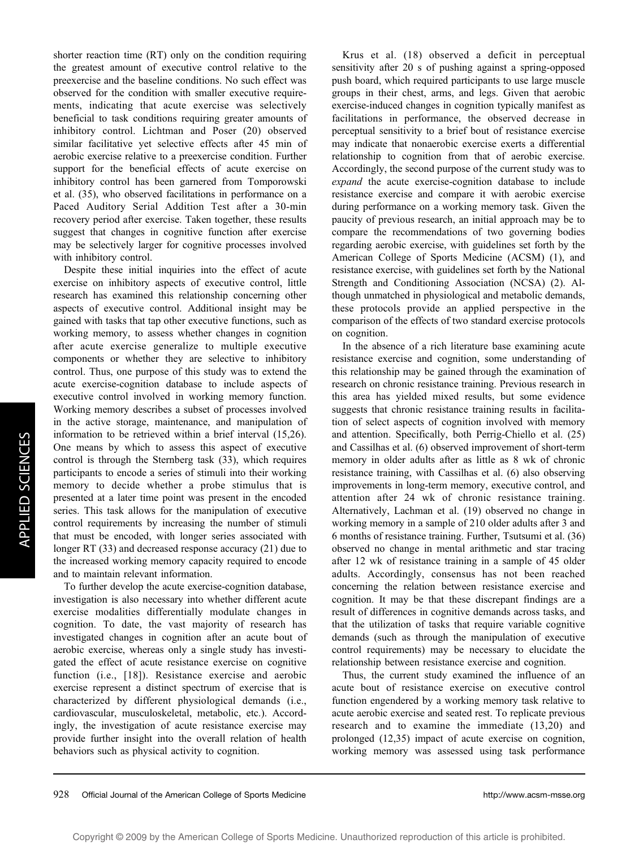shorter reaction time (RT) only on the condition requiring the greatest amount of executive control relative to the preexercise and the baseline conditions. No such effect was observed for the condition with smaller executive requirements, indicating that acute exercise was selectively beneficial to task conditions requiring greater amounts of inhibitory control. Lichtman and Poser (20) observed similar facilitative yet selective effects after 45 min of aerobic exercise relative to a preexercise condition. Further support for the beneficial effects of acute exercise on inhibitory control has been garnered from Tomporowski et al. (35), who observed facilitations in performance on a Paced Auditory Serial Addition Test after a 30-min recovery period after exercise. Taken together, these results suggest that changes in cognitive function after exercise may be selectively larger for cognitive processes involved with inhibitory control.

Despite these initial inquiries into the effect of acute exercise on inhibitory aspects of executive control, little research has examined this relationship concerning other aspects of executive control. Additional insight may be gained with tasks that tap other executive functions, such as working memory, to assess whether changes in cognition after acute exercise generalize to multiple executive components or whether they are selective to inhibitory control. Thus, one purpose of this study was to extend the acute exercise-cognition database to include aspects of executive control involved in working memory function. Working memory describes a subset of processes involved in the active storage, maintenance, and manipulation of information to be retrieved within a brief interval (15,26). One means by which to assess this aspect of executive control is through the Sternberg task (33), which requires participants to encode a series of stimuli into their working memory to decide whether a probe stimulus that is presented at a later time point was present in the encoded series. This task allows for the manipulation of executive control requirements by increasing the number of stimuli that must be encoded, with longer series associated with longer RT (33) and decreased response accuracy (21) due to the increased working memory capacity required to encode and to maintain relevant information.

To further develop the acute exercise-cognition database, investigation is also necessary into whether different acute exercise modalities differentially modulate changes in cognition. To date, the vast majority of research has investigated changes in cognition after an acute bout of aerobic exercise, whereas only a single study has investigated the effect of acute resistance exercise on cognitive function (i.e., [18]). Resistance exercise and aerobic exercise represent a distinct spectrum of exercise that is characterized by different physiological demands (i.e., cardiovascular, musculoskeletal, metabolic, etc.). Accordingly, the investigation of acute resistance exercise may provide further insight into the overall relation of health behaviors such as physical activity to cognition.

Krus et al. (18) observed a deficit in perceptual sensitivity after 20 s of pushing against a spring-opposed push board, which required participants to use large muscle groups in their chest, arms, and legs. Given that aerobic exercise-induced changes in cognition typically manifest as facilitations in performance, the observed decrease in perceptual sensitivity to a brief bout of resistance exercise may indicate that nonaerobic exercise exerts a differential relationship to cognition from that of aerobic exercise. Accordingly, the second purpose of the current study was to expand the acute exercise-cognition database to include resistance exercise and compare it with aerobic exercise during performance on a working memory task. Given the paucity of previous research, an initial approach may be to compare the recommendations of two governing bodies regarding aerobic exercise, with guidelines set forth by the American College of Sports Medicine (ACSM) (1), and resistance exercise, with guidelines set forth by the National Strength and Conditioning Association (NCSA) (2). Although unmatched in physiological and metabolic demands, these protocols provide an applied perspective in the comparison of the effects of two standard exercise protocols on cognition.

In the absence of a rich literature base examining acute resistance exercise and cognition, some understanding of this relationship may be gained through the examination of research on chronic resistance training. Previous research in this area has yielded mixed results, but some evidence suggests that chronic resistance training results in facilitation of select aspects of cognition involved with memory and attention. Specifically, both Perrig-Chiello et al. (25) and Cassilhas et al. (6) observed improvement of short-term memory in older adults after as little as 8 wk of chronic resistance training, with Cassilhas et al. (6) also observing improvements in long-term memory, executive control, and attention after 24 wk of chronic resistance training. Alternatively, Lachman et al. (19) observed no change in working memory in a sample of 210 older adults after 3 and 6 months of resistance training. Further, Tsutsumi et al. (36) observed no change in mental arithmetic and star tracing after 12 wk of resistance training in a sample of 45 older adults. Accordingly, consensus has not been reached concerning the relation between resistance exercise and cognition. It may be that these discrepant findings are a result of differences in cognitive demands across tasks, and that the utilization of tasks that require variable cognitive demands (such as through the manipulation of executive control requirements) may be necessary to elucidate the relationship between resistance exercise and cognition.

Thus, the current study examined the influence of an acute bout of resistance exercise on executive control function engendered by a working memory task relative to acute aerobic exercise and seated rest. To replicate previous research and to examine the immediate (13,20) and prolonged (12,35) impact of acute exercise on cognition, working memory was assessed using task performance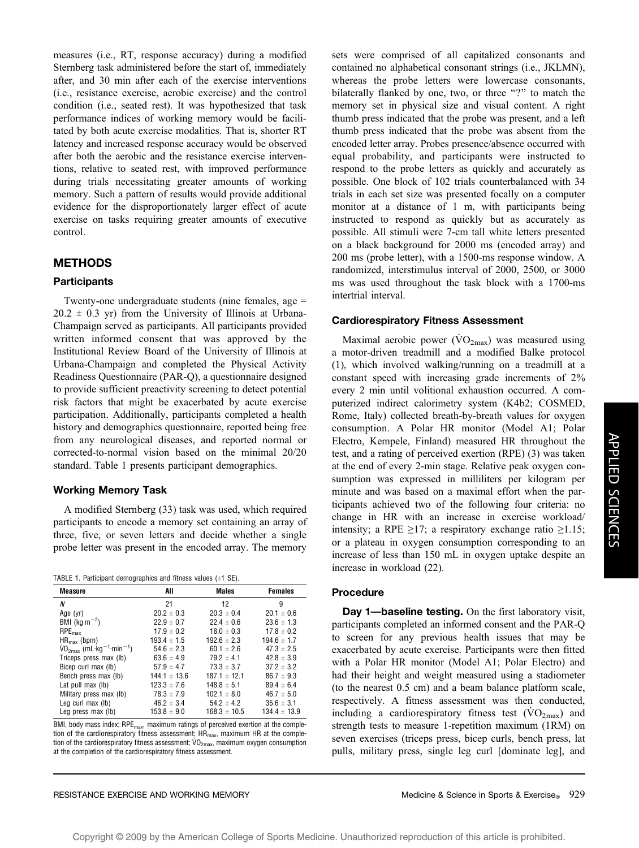measures (i.e., RT, response accuracy) during a modified Sternberg task administered before the start of, immediately after, and 30 min after each of the exercise interventions (i.e., resistance exercise, aerobic exercise) and the control condition (i.e., seated rest). It was hypothesized that task performance indices of working memory would be facilitated by both acute exercise modalities. That is, shorter RT latency and increased response accuracy would be observed after both the aerobic and the resistance exercise interventions, relative to seated rest, with improved performance during trials necessitating greater amounts of working memory. Such a pattern of results would provide additional evidence for the disproportionately larger effect of acute exercise on tasks requiring greater amounts of executive control.

# METHODS

### **Participants**

Twenty-one undergraduate students (nine females, age =  $20.2 \pm 0.3$  yr) from the University of Illinois at Urbana-Champaign served as participants. All participants provided written informed consent that was approved by the Institutional Review Board of the University of Illinois at Urbana-Champaign and completed the Physical Activity Readiness Questionnaire (PAR-Q), a questionnaire designed to provide sufficient preactivity screening to detect potential risk factors that might be exacerbated by acute exercise participation. Additionally, participants completed a health history and demographics questionnaire, reported being free from any neurological diseases, and reported normal or corrected-to-normal vision based on the minimal 20/20 standard. Table 1 presents participant demographics.

#### Working Memory Task

A modified Sternberg (33) task was used, which required participants to encode a memory set containing an array of three, five, or seven letters and decide whether a single probe letter was present in the encoded array. The memory

TABLE 1. Participant demographics and fitness values  $(\pm 1 \text{ SE})$ .

| <b>Measure</b>                                     | All              | Males            | <b>Females</b>   |
|----------------------------------------------------|------------------|------------------|------------------|
| Ν                                                  | 21               | 12               | 9                |
| Age (yr)                                           | $20.2 \pm 0.3$   | $20.3 \pm 0.4$   | $20.1 \pm 0.6$   |
| BMI ( $kg·m-2$ )                                   | $22.9 \pm 0.7$   | $22.4 \pm 0.6$   | $23.6 \pm 1.3$   |
| RPE <sub>max</sub>                                 | $17.9 \pm 0.2$   | $18.0 \pm 0.3$   | $17.8 \pm 0.2$   |
| $HR_{max}$ (bpm)                                   | $193.4 \pm 1.5$  | $192.6 \pm 2.3$  | $194.6 \pm 1.7$  |
| $VO2max$ (mL·kg <sup>-1</sup> ·min <sup>-1</sup> ) | $54.6 \pm 2.3$   | $60.1 \pm 2.6$   | $47.3 \pm 2.5$   |
| Triceps press max (lb)                             | $63.6 \pm 4.9$   | $79.2 \pm 4.1$   | $42.8 \pm 3.9$   |
| Bicep curl max (lb)                                | $57.9 \pm 4.7$   | $73.3 \pm 3.7$   | $37.2 \pm 3.2$   |
| Bench press max (lb)                               | $144.1 \pm 13.6$ | $1871 + 121$     | $86.7 \pm 9.3$   |
| Lat pull max (lb)                                  | $123.3 \pm 7.6$  | $148.8 \pm 5.1$  | $89.4 \pm 6.4$   |
| Military press max (lb)                            | $78.3 \pm 7.9$   | $102.1 \pm 8.0$  | $46.7 \pm 5.0$   |
| Leg curl max (lb)                                  | $46.2 \pm 3.4$   | $54.2 \pm 4.2$   | $35.6 \pm 3.1$   |
| Leg press max (lb)                                 | $153.8 \pm 9.0$  | $168.3 \pm 10.5$ | $134.4 \pm 13.9$ |

BMI, body mass index; RPE<sub>max</sub>, maximum ratings of perceived exertion at the completion of the cardiorespiratory fitness assessment;  $HR_{max}$ , maximum HR at the completion of the cardiorespiratory fitness assessment;  $VO_{2\text{max}}$ , maximum oxygen consumption at the completion of the cardiorespiratory fitness assessment.

sets were comprised of all capitalized consonants and contained no alphabetical consonant strings (i.e., JKLMN), whereas the probe letters were lowercase consonants, bilaterally flanked by one, two, or three "?" to match the memory set in physical size and visual content. A right thumb press indicated that the probe was present, and a left thumb press indicated that the probe was absent from the encoded letter array. Probes presence/absence occurred with equal probability, and participants were instructed to respond to the probe letters as quickly and accurately as possible. One block of 102 trials counterbalanced with 34 trials in each set size was presented focally on a computer monitor at a distance of 1 m, with participants being instructed to respond as quickly but as accurately as possible. All stimuli were 7-cm tall white letters presented on a black background for 2000 ms (encoded array) and 200 ms (probe letter), with a 1500-ms response window. A randomized, interstimulus interval of 2000, 2500, or 3000 ms was used throughout the task block with a 1700-ms intertrial interval.

#### Cardiorespiratory Fitness Assessment

Maximal aerobic power ( $\rm\dot{VO}_{2max}$ ) was measured using a motor-driven treadmill and a modified Balke protocol (1), which involved walking/running on a treadmill at a constant speed with increasing grade increments of 2% every 2 min until volitional exhaustion occurred. A computerized indirect calorimetry system (K4b2; COSMED, Rome, Italy) collected breath-by-breath values for oxygen consumption. A Polar HR monitor (Model A1; Polar Electro, Kempele, Finland) measured HR throughout the test, and a rating of perceived exertion (RPE) (3) was taken at the end of every 2-min stage. Relative peak oxygen consumption was expressed in milliliters per kilogram per minute and was based on a maximal effort when the participants achieved two of the following four criteria: no change in HR with an increase in exercise workload/ intensity; a RPE  $\geq$ 17; a respiratory exchange ratio  $\geq$ 1.15; or a plateau in oxygen consumption corresponding to an increase of less than 150 mL in oxygen uptake despite an increase in workload (22).

#### Procedure

Day 1—baseline testing. On the first laboratory visit, participants completed an informed consent and the PAR-Q to screen for any previous health issues that may be exacerbated by acute exercise. Participants were then fitted with a Polar HR monitor (Model A1; Polar Electro) and had their height and weight measured using a stadiometer (to the nearest 0.5 cm) and a beam balance platform scale, respectively. A fitness assessment was then conducted, including a cardiorespiratory fitness test  $(\dot{V}O_{2max})$  and strength tests to measure 1-repetition maximum (1RM) on seven exercises (triceps press, bicep curls, bench press, lat pulls, military press, single leg curl [dominate leg], and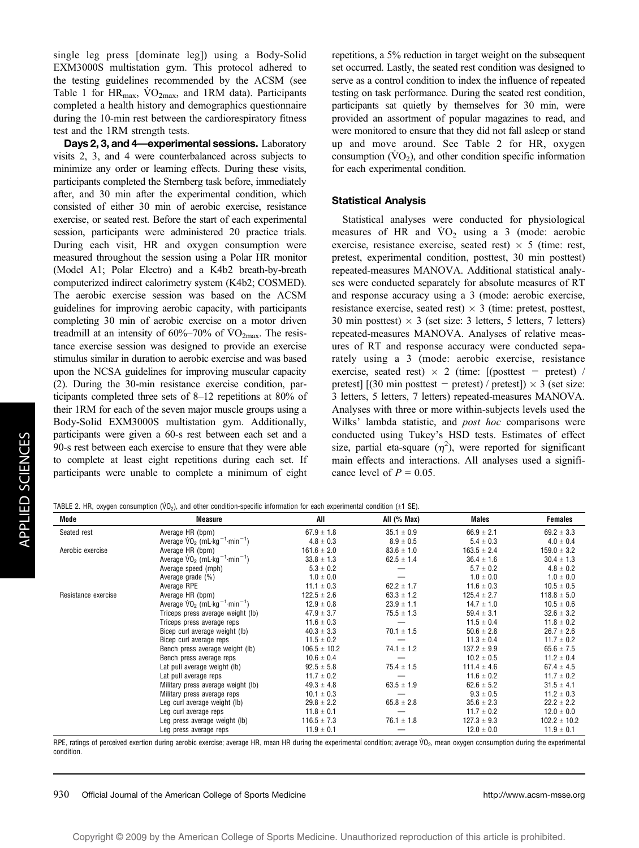single leg press [dominate leg]) using a Body-Solid EXM3000S multistation gym. This protocol adhered to the testing guidelines recommended by the ACSM (see Table 1 for  $HR_{\text{max}}$ , VO<sub>2max</sub>, and 1RM data). Participants completed a health history and demographics questionnaire during the 10-min rest between the cardiorespiratory fitness test and the 1RM strength tests.

Days 2, 3, and 4—experimental sessions. Laboratory visits 2, 3, and 4 were counterbalanced across subjects to minimize any order or learning effects. During these visits, participants completed the Sternberg task before, immediately after, and 30 min after the experimental condition, which consisted of either 30 min of aerobic exercise, resistance exercise, or seated rest. Before the start of each experimental session, participants were administered 20 practice trials. During each visit, HR and oxygen consumption were measured throughout the session using a Polar HR monitor (Model A1; Polar Electro) and a K4b2 breath-by-breath computerized indirect calorimetry system (K4b2; COSMED). The aerobic exercise session was based on the ACSM guidelines for improving aerobic capacity, with participants completing 30 min of aerobic exercise on a motor driven treadmill at an intensity of  $60\% - 70\%$  of  $VO_{2\text{max}}$ . The resistance exercise session was designed to provide an exercise stimulus similar in duration to aerobic exercise and was based upon the NCSA guidelines for improving muscular capacity (2). During the 30-min resistance exercise condition, participants completed three sets of 8–12 repetitions at 80% of their 1RM for each of the seven major muscle groups using a Body-Solid EXM3000S multistation gym. Additionally, participants were given a 60-s rest between each set and a 90-s rest between each exercise to ensure that they were able to complete at least eight repetitions during each set. If participants were unable to complete a minimum of eight repetitions, a 5% reduction in target weight on the subsequent set occurred. Lastly, the seated rest condition was designed to serve as a control condition to index the influence of repeated testing on task performance. During the seated rest condition, participants sat quietly by themselves for 30 min, were provided an assortment of popular magazines to read, and were monitored to ensure that they did not fall asleep or stand up and move around. See Table 2 for HR, oxygen consumption  $(\dot{V}O_2)$ , and other condition specific information for each experimental condition.

#### Statistical Analysis

Statistical analyses were conducted for physiological measures of HR and  $\text{VO}_2$  using a 3 (mode: aerobic exercise, resistance exercise, seated rest)  $\times$  5 (time: rest, pretest, experimental condition, posttest, 30 min posttest) repeated-measures MANOVA. Additional statistical analyses were conducted separately for absolute measures of RT and response accuracy using a 3 (mode: aerobic exercise, resistance exercise, seated rest)  $\times$  3 (time: pretest, posttest, 30 min posttest)  $\times$  3 (set size: 3 letters, 5 letters, 7 letters) repeated-measures MANOVA. Analyses of relative measures of RT and response accuracy were conducted separately using a 3 (mode: aerobic exercise, resistance exercise, seated rest)  $\times$  2 (time: [(posttest – pretest) / pretest]  $[(30 \text{ min posttest} - \text{pretest}) / \text{pretest}]) \times 3$  (set size: 3 letters, 5 letters, 7 letters) repeated-measures MANOVA. Analyses with three or more within-subjects levels used the Wilks' lambda statistic, and *post hoc* comparisons were conducted using Tukey's HSD tests. Estimates of effect size, partial eta-square  $(\eta^2)$ , were reported for significant main effects and interactions. All analyses used a significance level of  $P = 0.05$ .

**APPLIED SCIENCES** APPLIED SCIENCES

TABLE 2. HR, oxygen consumption ( $VO_2$ ), and other condition-specific information for each experimental condition (±1 SE).

| Mode                | <b>Measure</b>                                                  | All              | All (% Max)    | Males           | <b>Females</b>   |
|---------------------|-----------------------------------------------------------------|------------------|----------------|-----------------|------------------|
| Seated rest         | Average HR (bpm)                                                | $67.9 \pm 1.8$   | $35.1 \pm 0.9$ | $66.9 \pm 2.1$  | $69.2 \pm 3.3$   |
|                     | Average $\dot{V}O_2$ (mL·kg <sup>-1</sup> ·min <sup>-1</sup> )  | $4.8 \pm 0.3$    | $8.9 \pm 0.5$  | $5.4 \pm 0.3$   | $4.0 \pm 0.4$    |
| Aerobic exercise    | Average HR (bpm)                                                | $161.6 \pm 2.0$  | $83.6 \pm 1.0$ | $163.5 \pm 2.4$ | $159.0 \pm 3.2$  |
|                     | Average $\text{VO}_2$ (mL·kg <sup>-1</sup> ·min <sup>-1</sup> ) | $33.8 \pm 1.3$   | $62.5 \pm 1.4$ | $36.4 \pm 1.6$  | $30.4 \pm 1.3$   |
|                     | Average speed (mph)                                             | $5.3 \pm 0.2$    |                | $5.7 \pm 0.2$   | $4.8 \pm 0.2$    |
|                     | Average grade (%)                                               | $1.0 \pm 0.0$    |                | $1.0 \pm 0.0$   | $1.0 \pm 0.0$    |
|                     | Average RPE                                                     | $11.1 \pm 0.3$   | $62.2 \pm 1.7$ | $11.6 \pm 0.3$  | $10.5 \pm 0.5$   |
| Resistance exercise | Average HR (bpm)                                                | $122.5 \pm 2.6$  | $63.3 \pm 1.2$ | $125.4 \pm 2.7$ | $118.8 \pm 5.0$  |
|                     | Average $\dot{V}O_2$ (mL·kg <sup>-1</sup> ·min <sup>-1</sup> )  | $12.9 \pm 0.8$   | $23.9 \pm 1.1$ | $14.7 \pm 1.0$  | $10.5 \pm 0.6$   |
|                     | Triceps press average weight (lb)                               | $47.9 \pm 3.7$   | $75.5 \pm 1.3$ | $59.4 \pm 3.1$  | $32.6 \pm 3.2$   |
|                     | Triceps press average reps                                      | $11.6 \pm 0.3$   |                | $11.5 \pm 0.4$  | $11.8 \pm 0.2$   |
|                     | Bicep curl average weight (lb)                                  | $40.3 \pm 3.3$   | $70.1 \pm 1.5$ | $50.6 \pm 2.8$  | $26.7 \pm 2.6$   |
|                     | Bicep curl average reps                                         | $11.5 \pm 0.2$   |                | $11.3 \pm 0.4$  | $11.7 \pm 0.2$   |
|                     | Bench press average weight (lb)                                 | $106.5 \pm 10.2$ | $74.1 \pm 1.2$ | $137.2 \pm 9.9$ | $65.6 \pm 7.5$   |
|                     | Bench press average reps                                        | $10.6 \pm 0.4$   |                | $10.2 \pm 0.5$  | $11.2 \pm 0.4$   |
|                     | Lat pull average weight (lb)                                    | $92.5 \pm 5.8$   | $75.4 \pm 1.5$ | $111.4 \pm 4.6$ | $67.4 \pm 4.5$   |
|                     | Lat pull average reps                                           | $11.7 \pm 0.2$   |                | $11.6 \pm 0.2$  | $11.7 \pm 0.2$   |
|                     | Military press average weight (lb)                              | $49.3 \pm 4.8$   | $63.5 \pm 1.9$ | $62.6 \pm 5.2$  | $31.5 \pm 4.1$   |
|                     | Military press average reps                                     | $10.1 \pm 0.3$   |                | $9.3 \pm 0.5$   | $11.2 \pm 0.3$   |
|                     | Leg curl average weight (lb)                                    | $29.8 \pm 2.2$   | $65.8 \pm 2.8$ | $35.6 \pm 2.3$  | $22.2 \pm 2.2$   |
|                     | Leg curl average reps                                           | $11.8 \pm 0.1$   |                | $11.7 \pm 0.2$  | $12.0 \pm 0.0$   |
|                     | Leg press average weight (lb)                                   | $116.5 \pm 7.3$  | $76.1 \pm 1.8$ | $127.3 \pm 9.3$ | $102.2 \pm 10.2$ |
|                     | Leg press average reps                                          | $11.9 \pm 0.1$   |                | $12.0 \pm 0.0$  | $11.9 \pm 0.1$   |

RPE, ratings of perceived exertion during aerobic exercise; average HR, mean HR during the experimental condition; average VO<sub>2</sub>, mean oxygen consumption during the experimental condition.

930 Official Journal of the American College of Sports Medicine http://www.acsm-msse.org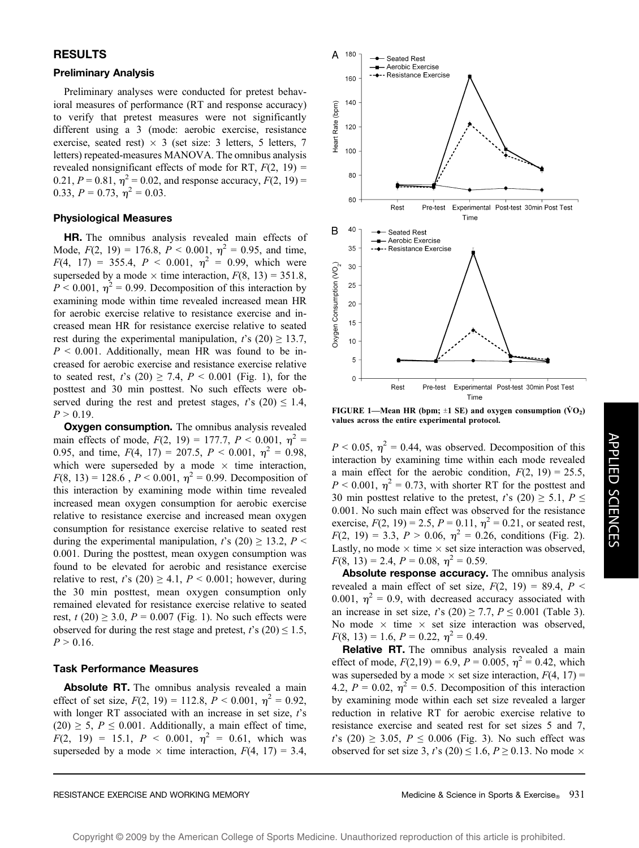## RESULTS

#### Preliminary Analysis

Preliminary analyses were conducted for pretest behavioral measures of performance (RT and response accuracy) to verify that pretest measures were not significantly different using a 3 (mode: aerobic exercise, resistance exercise, seated rest)  $\times$  3 (set size: 3 letters, 5 letters, 7 letters) repeated-measures MANOVA. The omnibus analysis revealed nonsignificant effects of mode for RT,  $F(2, 19) =$ 0.21,  $P = 0.81$ ,  $\eta^2 = 0.02$ , and response accuracy,  $F(2, 19) =$ 0.33,  $P = 0.73$ ,  $\eta^2 = 0.03$ .

#### Physiological Measures

HR. The omnibus analysis revealed main effects of Mode,  $F(2, 19) = 176.8$ ,  $P < 0.001$ ,  $\eta^2 = 0.95$ , and time,  $F(4, 17) = 355.4, P < 0.001, \eta^2 = 0.99$ , which were superseded by a mode  $\times$  time interaction,  $F(8, 13) = 351.8$ ,  $P < 0.001$ ,  $\eta^2 = 0.99$ . Decomposition of this interaction by examining mode within time revealed increased mean HR for aerobic exercise relative to resistance exercise and increased mean HR for resistance exercise relative to seated rest during the experimental manipulation,  $t$ 's (20)  $\geq$  13.7,  $P < 0.001$ . Additionally, mean HR was found to be increased for aerobic exercise and resistance exercise relative to seated rest, t's  $(20) \ge 7.4$ ,  $P < 0.001$  (Fig. 1), for the posttest and 30 min posttest. No such effects were observed during the rest and pretest stages,  $t$ 's (20)  $\leq$  1.4,  $P > 0.19$ .

**Oxygen consumption.** The omnibus analysis revealed main effects of mode,  $F(2, 19) = 177.7$ ,  $P < 0.001$ ,  $\eta^2 =$ 0.95, and time,  $F(4, 17) = 207.5$ ,  $P < 0.001$ ,  $\eta^2 = 0.98$ , which were superseded by a mode  $\times$  time interaction,  $F(8, 13) = 128.6$ ,  $P < 0.001$ ,  $\eta^2 = 0.99$ . Decomposition of this interaction by examining mode within time revealed increased mean oxygen consumption for aerobic exercise relative to resistance exercise and increased mean oxygen consumption for resistance exercise relative to seated rest during the experimental manipulation, t's  $(20) \ge 13.2$ ,  $P \le$ 0.001. During the posttest, mean oxygen consumption was found to be elevated for aerobic and resistance exercise relative to rest, t's (20)  $\geq$  4.1,  $P < 0.001$ ; however, during the 30 min posttest, mean oxygen consumption only remained elevated for resistance exercise relative to seated rest,  $t$  (20)  $\geq$  3.0,  $P = 0.007$  (Fig. 1). No such effects were observed for during the rest stage and pretest,  $t$ 's (20)  $\leq$  1.5,  $P > 0.16$ .

#### Task Performance Measures

Absolute RT. The omnibus analysis revealed a main effect of set size,  $F(2, 19) = 112.8, P < 0.001, \eta^2 = 0.92$ , with longer RT associated with an increase in set size,  $t$ 's  $(20) \geq 5$ ,  $P \leq 0.001$ . Additionally, a main effect of time,  $F(2, 19) = 15.1, P < 0.001, \eta^2 = 0.61$ , which was superseded by a mode  $\times$  time interaction,  $F(4, 17) = 3.4$ ,



FIGURE 1—Mean HR (bpm;  $\pm 1$  SE) and oxygen consumption ( $\dot{V}O_2$ ) values across the entire experimental protocol.

 $P < 0.05$ ,  $\eta^2 = 0.44$ , was observed. Decomposition of this interaction by examining time within each mode revealed a main effect for the aerobic condition,  $F(2, 19) = 25.5$ ,  $P \le 0.001$ ,  $\eta^2 = 0.73$ , with shorter RT for the posttest and 30 min posttest relative to the pretest, t's (20)  $\geq$  5.1,  $P \leq$ 0.001. No such main effect was observed for the resistance exercise,  $F(2, 19) = 2.5$ ,  $P = 0.11$ ,  $\eta^2 = 0.21$ , or seated rest,  $F(2, 19) = 3.3, P > 0.06, \eta^2 = 0.26,$  conditions (Fig. 2). Lastly, no mode  $\times$  time  $\times$  set size interaction was observed,  $F(8, 13) = 2.4, P = 0.08, \eta^2 = 0.59.$ 

Absolute response accuracy. The omnibus analysis revealed a main effect of set size,  $F(2, 19) = 89.4$ ,  $P \leq$ 0.001,  $\eta^2$  = 0.9, with decreased accuracy associated with an increase in set size,  $t$ 's (20)  $\geq$  7.7,  $P \leq 0.001$  (Table 3). No mode  $\times$  time  $\times$  set size interaction was observed,  $F(8, 13) = 1.6, P = 0.22, \eta^2 = 0.49.$ 

Relative RT. The omnibus analysis revealed a main effect of mode,  $F(2,19) = 6.9$ ,  $P = 0.005$ ,  $\eta^2 = 0.42$ , which was superseded by a mode  $\times$  set size interaction,  $F(4, 17) =$ 4.2,  $P = 0.02$ ,  $\eta^2 = 0.5$ . Decomposition of this interaction by examining mode within each set size revealed a larger reduction in relative RT for aerobic exercise relative to resistance exercise and seated rest for set sizes 5 and 7,  $t's (20) \ge 3.05$ ,  $P \le 0.006$  (Fig. 3). No such effect was observed for set size 3, t's (20)  $\leq$  1.6,  $P \geq 0.13$ . No mode  $\times$  APPLIED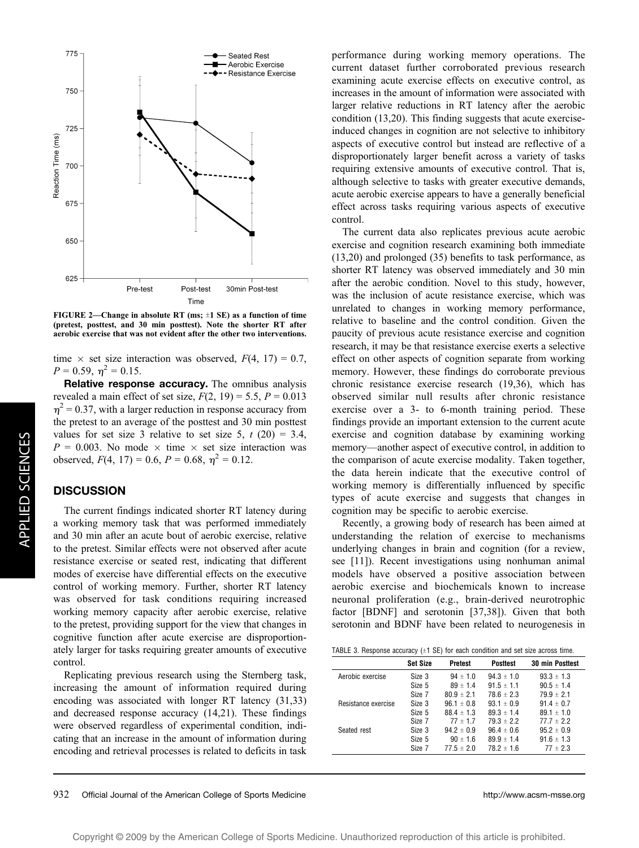

FIGURE 2-Change in absolute RT (ms;  $\pm 1$  SE) as a function of time (pretest, posttest, and 30 min posttest). Note the shorter RT after aerobic exercise that was not evident after the other two interventions.

time  $\times$  set size interaction was observed,  $F(4, 17) = 0.7$ ,  $P = 0.59, \eta^2 = 0.15.$ 

Relative response accuracy. The omnibus analysis revealed a main effect of set size,  $F(2, 19) = 5.5$ ,  $P = 0.013$  $\eta^2$  = 0.37, with a larger reduction in response accuracy from the pretest to an average of the posttest and 30 min posttest values for set size 3 relative to set size 5,  $t(20) = 3.4$ ,  $P = 0.003$ . No mode  $\times$  time  $\times$  set size interaction was observed,  $F(4, 17) = 0.6$ ,  $P = 0.68$ ,  $\eta^2 = 0.12$ .

# **DISCUSSION**

The current findings indicated shorter RT latency during a working memory task that was performed immediately and 30 min after an acute bout of aerobic exercise, relative to the pretest. Similar effects were not observed after acute resistance exercise or seated rest, indicating that different modes of exercise have differential effects on the executive control of working memory. Further, shorter RT latency was observed for task conditions requiring increased working memory capacity after aerobic exercise, relative to the pretest, providing support for the view that changes in cognitive function after acute exercise are disproportionately larger for tasks requiring greater amounts of executive control.

Replicating previous research using the Sternberg task, increasing the amount of information required during encoding was associated with longer RT latency (31,33) and decreased response accuracy (14,21). These findings were observed regardless of experimental condition, indicating that an increase in the amount of information during encoding and retrieval processes is related to deficits in task

performance during working memory operations. The current dataset further corroborated previous research examining acute exercise effects on executive control, as increases in the amount of information were associated with larger relative reductions in RT latency after the aerobic condition (13,20). This finding suggests that acute exerciseinduced changes in cognition are not selective to inhibitory aspects of executive control but instead are reflective of a disproportionately larger benefit across a variety of tasks requiring extensive amounts of executive control. That is, although selective to tasks with greater executive demands, acute aerobic exercise appears to have a generally beneficial effect across tasks requiring various aspects of executive control.

The current data also replicates previous acute aerobic exercise and cognition research examining both immediate (13,20) and prolonged (35) benefits to task performance, as shorter RT latency was observed immediately and 30 min after the aerobic condition. Novel to this study, however, was the inclusion of acute resistance exercise, which was unrelated to changes in working memory performance, relative to baseline and the control condition. Given the paucity of previous acute resistance exercise and cognition research, it may be that resistance exercise exerts a selective effect on other aspects of cognition separate from working memory. However, these findings do corroborate previous chronic resistance exercise research (19,36), which has observed similar null results after chronic resistance exercise over a 3- to 6-month training period. These findings provide an important extension to the current acute exercise and cognition database by examining working memory—another aspect of executive control, in addition to the comparison of acute exercise modality. Taken together, the data herein indicate that the executive control of working memory is differentially influenced by specific types of acute exercise and suggests that changes in cognition may be specific to aerobic exercise.

Recently, a growing body of research has been aimed at understanding the relation of exercise to mechanisms underlying changes in brain and cognition (for a review, see [11]). Recent investigations using nonhuman animal models have observed a positive association between aerobic exercise and biochemicals known to increase neuronal proliferation (e.g., brain-derived neurotrophic factor [BDNF] and serotonin [37,38]). Given that both serotonin and BDNF have been related to neurogenesis in

| TABLE 3. Response accuracy ( $\pm 1$ SE) for each condition and set size across time. |  |  |  |
|---------------------------------------------------------------------------------------|--|--|--|
|---------------------------------------------------------------------------------------|--|--|--|

|                     |                 | $\epsilon$     |                 |                        |
|---------------------|-----------------|----------------|-----------------|------------------------|
|                     | <b>Set Size</b> | Pretest        | <b>Posttest</b> | <b>30 min Posttest</b> |
| Aerobic exercise    | Size 3          | $94 \pm 1.0$   | $94.3 \pm 1.0$  | $93.3 \pm 1.3$         |
|                     | Size 5          | $89 \pm 1.4$   | $91.5 \pm 1.1$  | $90.5 \pm 1.4$         |
|                     | Size 7          | $80.9 \pm 2.1$ | $78.6 \pm 2.3$  | $79.9 \pm 2.1$         |
| Resistance exercise | Size 3          | $96.1 \pm 0.8$ | $93.1 \pm 0.9$  | $91.4 \pm 0.7$         |
|                     | Size 5          | $88.4 \pm 1.3$ | $89.3 \pm 1.4$  | $89.1 \pm 1.0$         |
|                     | Size 7          | $77 + 17$      | $79.3 \pm 2.2$  | $777 + 22$             |
| Seated rest         | Size 3          | $94.2 \pm 0.9$ | $96.4 \pm 0.6$  | $95.2 \pm 0.9$         |
|                     | Size 5          | $90 \pm 1.6$   | $89.9 \pm 1.4$  | $91.6 \pm 1.3$         |
|                     | Size 7          | $77.5 \pm 2.0$ | $78.2 \pm 1.6$  | $77 \pm 2.3$           |
|                     |                 |                |                 |                        |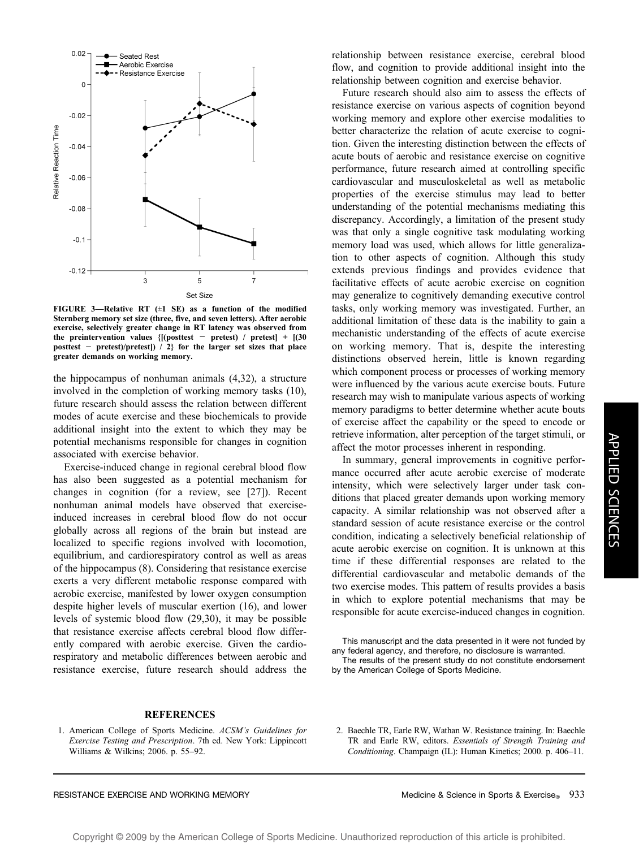

FIGURE 3-Relative RT  $(\pm 1$  SE) as a function of the modified Sternberg memory set size (three, five, and seven letters). After aerobic exercise, selectively greater change in RT latency was observed from the preintervention values  ${[(posttest - pretest) / pretest] + [(30$ posttest – pretest)/pretest]) / 2} for the larger set sizes that place greater demands on working memory.

the hippocampus of nonhuman animals (4,32), a structure involved in the completion of working memory tasks (10), future research should assess the relation between different modes of acute exercise and these biochemicals to provide additional insight into the extent to which they may be potential mechanisms responsible for changes in cognition associated with exercise behavior.

Exercise-induced change in regional cerebral blood flow has also been suggested as a potential mechanism for changes in cognition (for a review, see [27]). Recent nonhuman animal models have observed that exerciseinduced increases in cerebral blood flow do not occur globally across all regions of the brain but instead are localized to specific regions involved with locomotion, equilibrium, and cardiorespiratory control as well as areas of the hippocampus (8). Considering that resistance exercise exerts a very different metabolic response compared with aerobic exercise, manifested by lower oxygen consumption despite higher levels of muscular exertion (16), and lower levels of systemic blood flow (29,30), it may be possible that resistance exercise affects cerebral blood flow differently compared with aerobic exercise. Given the cardiorespiratory and metabolic differences between aerobic and resistance exercise, future research should address the

relationship between resistance exercise, cerebral blood flow, and cognition to provide additional insight into the relationship between cognition and exercise behavior.

Future research should also aim to assess the effects of resistance exercise on various aspects of cognition beyond working memory and explore other exercise modalities to better characterize the relation of acute exercise to cognition. Given the interesting distinction between the effects of acute bouts of aerobic and resistance exercise on cognitive performance, future research aimed at controlling specific cardiovascular and musculoskeletal as well as metabolic properties of the exercise stimulus may lead to better understanding of the potential mechanisms mediating this discrepancy. Accordingly, a limitation of the present study was that only a single cognitive task modulating working memory load was used, which allows for little generalization to other aspects of cognition. Although this study extends previous findings and provides evidence that facilitative effects of acute aerobic exercise on cognition may generalize to cognitively demanding executive control tasks, only working memory was investigated. Further, an additional limitation of these data is the inability to gain a mechanistic understanding of the effects of acute exercise on working memory. That is, despite the interesting distinctions observed herein, little is known regarding which component process or processes of working memory were influenced by the various acute exercise bouts. Future research may wish to manipulate various aspects of working memory paradigms to better determine whether acute bouts of exercise affect the capability or the speed to encode or retrieve information, alter perception of the target stimuli, or affect the motor processes inherent in responding.

In summary, general improvements in cognitive performance occurred after acute aerobic exercise of moderate intensity, which were selectively larger under task conditions that placed greater demands upon working memory capacity. A similar relationship was not observed after a standard session of acute resistance exercise or the control condition, indicating a selectively beneficial relationship of acute aerobic exercise on cognition. It is unknown at this time if these differential responses are related to the differential cardiovascular and metabolic demands of the two exercise modes. This pattern of results provides a basis in which to explore potential mechanisms that may be responsible for acute exercise-induced changes in cognition.

#### **REFERENCES**

1. American College of Sports Medicine. ACSM's Guidelines for Exercise Testing and Prescription. 7th ed. New York: Lippincott Williams & Wilkins; 2006. p. 55–92.

2. Baechle TR, Earle RW, Wathan W. Resistance training. In: Baechle TR and Earle RW, editors. Essentials of Strength Training and Conditioning. Champaign (IL): Human Kinetics; 2000. p. 406–11. **APPLIED SCIENCES** SCIENCES

APPLIED

This manuscript and the data presented in it were not funded by any federal agency, and therefore, no disclosure is warranted.

The results of the present study do not constitute endorsement by the American College of Sports Medicine.